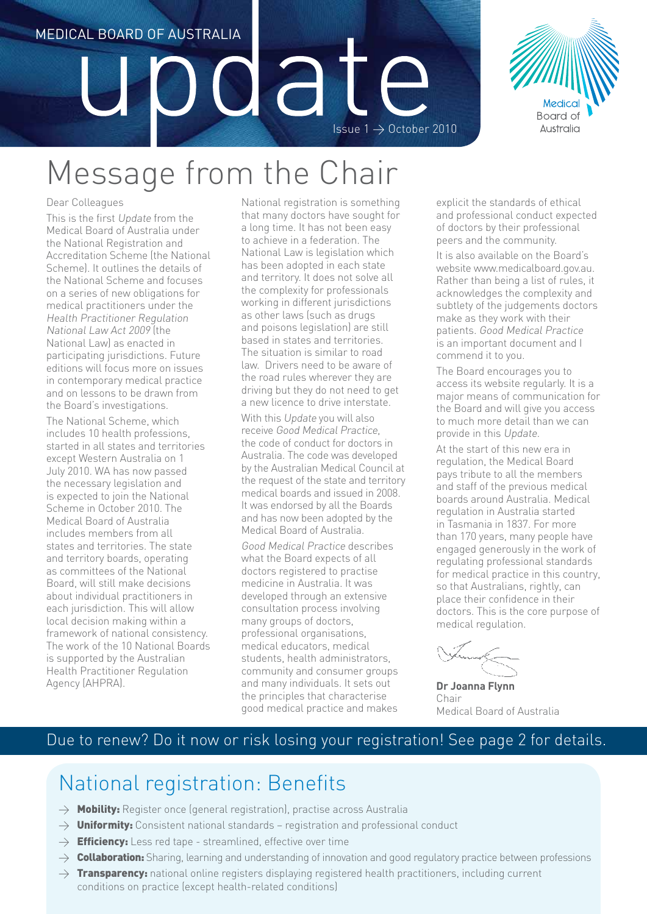# MEDICAL BOARD OF AUSTRALIA Issue  $1 \rightarrow$  October 2010



# Message from the Chair

#### Dear Colleagues

This is the first Update from the Medical Board of Australia under the National Registration and Accreditation Scheme (the National Scheme). It outlines the details of the National Scheme and focuses on a series of new obligations for medical practitioners under the Health Practitioner Regulation National Law Act 2009 (the National Law) as enacted in participating jurisdictions. Future editions will focus more on issues in contemporary medical practice and on lessons to be drawn from the Board's investigations.

The National Scheme, which includes 10 health professions, started in all states and territories except Western Australia on 1 July 2010. WA has now passed the necessary legislation and is expected to join the National Scheme in October 2010. The Medical Board of Australia includes members from all states and territories. The state and territory boards, operating as committees of the National Board, will still make decisions about individual practitioners in each jurisdiction. This will allow local decision making within a framework of national consistency. The work of the 10 National Boards is supported by the Australian Health Practitioner Regulation Agency (AHPRA).

National registration is something that many doctors have sought for a long time. It has not been easy to achieve in a federation. The National Law is legislation which has been adopted in each state and territory. It does not solve all the complexity for professionals working in different jurisdictions as other laws (such as drugs and poisons legislation) are still based in states and territories. The situation is similar to road law. Drivers need to be aware of the road rules wherever they are driving but they do not need to get a new licence to drive interstate. With this Update you will also receive Good Medical Practice, the code of conduct for doctors in Australia. The code was developed by the Australian Medical Council at the request of the state and territory medical boards and issued in 2008. It was endorsed by all the Boards and has now been adopted by the Medical Board of Australia. Good Medical Practice describes

what the Board expects of all doctors registered to practise medicine in Australia. It was developed through an extensive consultation process involving many groups of doctors, professional organisations, medical educators, medical students, health administrators, community and consumer groups and many individuals. It sets out the principles that characterise good medical practice and makes explicit the standards of ethical and professional conduct expected of doctors by their professional peers and the community.

It is also available on the Board's website www.medicalboard.gov.au. Rather than being a list of rules, it acknowledges the complexity and subtlety of the judgements doctors make as they work with their patients. Good Medical Practice is an important document and I commend it to you.

The Board encourages you to access its website regularly. It is a major means of communication for the Board and will give you access to much more detail than we can provide in this Update.

At the start of this new era in regulation, the Medical Board pays tribute to all the members and staff of the previous medical boards around Australia. Medical regulation in Australia started in Tasmania in 1837. For more than 170 years, many people have engaged generously in the work of regulating professional standards for medical practice in this country, so that Australians, rightly, can place their confidence in their doctors. This is the core purpose of medical regulation.

**Dr Joanna Flynn** Chair Medical Board of Australia

### Due to renew? Do it now or risk losing your registration! See page 2 for details.

# National registration: Benefits

- $\rightarrow$  Mobility: Register once (general registration), practise across Australia
- $\rightarrow$  Uniformity: Consistent national standards registration and professional conduct
- $\rightarrow$  **Efficiency:** Less red tape streamlined, effective over time
- $\rightarrow$  Collaboration: Sharing, learning and understanding of innovation and good regulatory practice between professions
- $\rightarrow$  Transparency: national online registers displaying registered health practitioners, including current conditions on practice (except health-related conditions)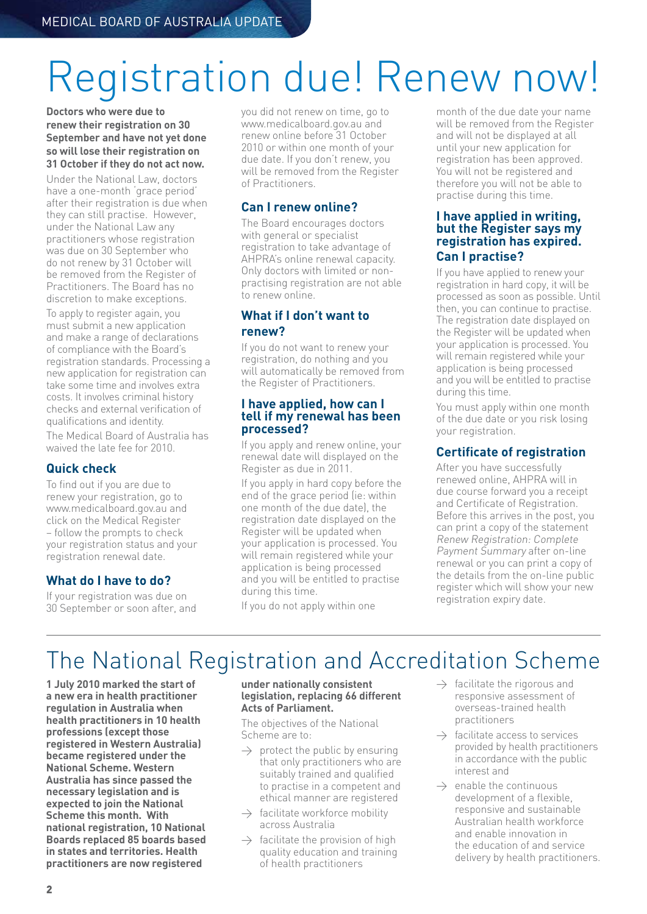# Registration due! Renew now!

**Doctors who were due to renew their registration on 30 September and have not yet done so will lose their registration on 31 October if they do not act now.**

Under the National Law, doctors have a one-month 'grace period' after their registration is due when they can still practise. However, under the National Law any practitioners whose registration was due on 30 September who do not renew by 31 October will be removed from the Register of Practitioners. The Board has no discretion to make exceptions.

To apply to register again, you must submit a new application and make a range of declarations of compliance with the Board's registration standards. Processing a new application for registration can take some time and involves extra costs. It involves criminal history checks and external verification of qualifications and identity. The Medical Board of Australia has waived the late fee for 2010.

#### **Quick check**

To find out if you are due to renew your registration, go to www.medicalboard.gov.au and click on the Medical Register – follow the prompts to check your registration status and your registration renewal date.

#### **What do I have to do?**

If your registration was due on 30 September or soon after, and you did not renew on time, go to www.medicalboard.gov.au and renew online before 31 October 2010 or within one month of your due date. If you don't renew, you will be removed from the Register of Practitioners.

#### **Can I renew online?**

The Board encourages doctors with general or specialist registration to take advantage of AHPRA's online renewal capacity. Only doctors with limited or nonpractising registration are not able to renew online.

#### **What if I don't want to renew?**

If you do not want to renew your registration, do nothing and you will automatically be removed from the Register of Practitioners.

#### **I have applied, how can I tell if my renewal has been processed?**

If you apply and renew online, your renewal date will displayed on the Register as due in 2011.

If you apply in hard copy before the end of the grace period (ie: within one month of the due date), the registration date displayed on the Register will be updated when your application is processed. You will remain registered while your application is being processed and you will be entitled to practise during this time.

If you do not apply within one

month of the due date your name will be removed from the Register and will not be displayed at all until your new application for registration has been approved. You will not be registered and therefore you will not be able to practise during this time.

#### **I have applied in writing, but the Register says my registration has expired. Can I practise?**

If you have applied to renew your registration in hard copy, it will be processed as soon as possible. Until then, you can continue to practise. The registration date displayed on the Register will be updated when your application is processed. You will remain registered while your application is being processed and you will be entitled to practise during this time.

You must apply within one month of the due date or you risk losing your registration.

#### **Certificate of registration**

After you have successfully renewed online, AHPRA will in due course forward you a receipt and Certificate of Registration. Before this arrives in the post, you can print a copy of the statement Renew Registration: Complete Payment Summary after on-line renewal or you can print a copy of the details from the on-line public register which will show your new registration expiry date.

# The National Registration and Accreditation Scheme

**1 July 2010 marked the start of a new era in health practitioner regulation in Australia when health practitioners in 10 health professions (except those registered in Western Australia) became registered under the National Scheme. Western Australia has since passed the necessary legislation and is expected to join the National Scheme this month. With national registration, 10 National Boards replaced 85 boards based in states and territories. Health practitioners are now registered** 

#### **under nationally consistent legislation, replacing 66 different Acts of Parliament.**

The objectives of the National Scheme are to:

- $\rightarrow$  protect the public by ensuring that only practitioners who are suitably trained and qualified to practise in a competent and ethical manner are registered
- $\rightarrow$  facilitate workforce mobility across Australia
- $\rightarrow$  facilitate the provision of high quality education and training of health practitioners
- $\rightarrow$  facilitate the rigorous and responsive assessment of overseas-trained health practitioners
- $\rightarrow$  facilitate access to services provided by health practitioners in accordance with the public interest and
- $\rightarrow$  enable the continuous development of a flexible, responsive and sustainable Australian health workforce and enable innovation in the education of and service delivery by health practitioners.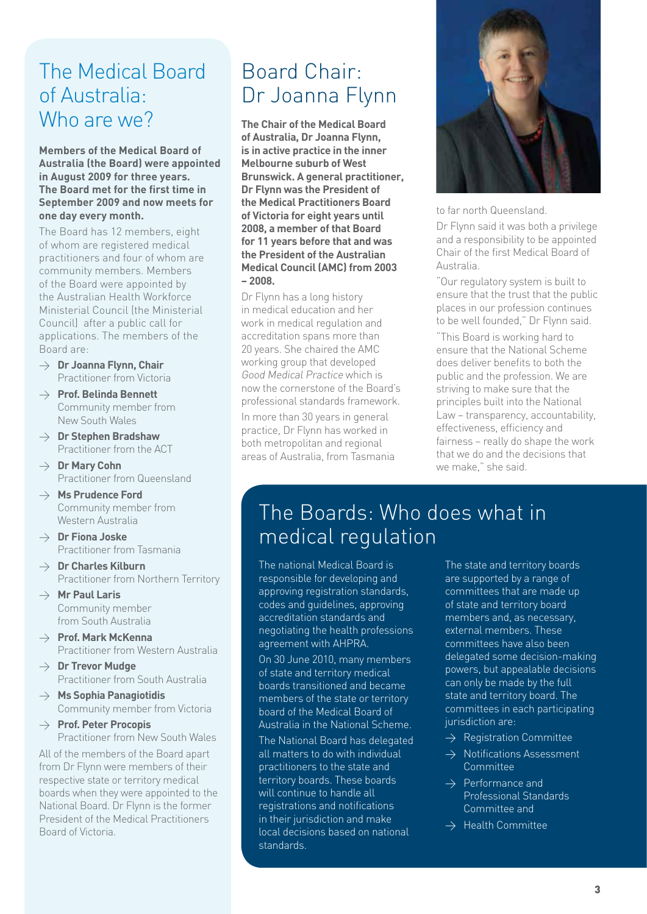# The Medical Board of Australia: Who are we?

**Members of the Medical Board of Australia (the Board) were appointed in August 2009 for three years. The Board met for the first time in September 2009 and now meets for one day every month.** 

The Board has 12 members, eight of whom are registered medical practitioners and four of whom are community members. Members of the Board were appointed by the Australian Health Workforce Ministerial Council (the Ministerial Council) after a public call for applications. The members of the Board are:

- > **Dr Joanna Flynn, Chair** Practitioner from Victoria
- > **Prof. Belinda Bennett** Community member from New South Wales
- > **Dr Stephen Bradshaw** Practitioner from the ACT
- > **Dr Mary Cohn** Practitioner from Queensland
- > **Ms Prudence Ford** Community member from Western Australia
- > **Dr Fiona Joske** Practitioner from Tasmania
- > **Dr Charles Kilburn** Practitioner from Northern Territory
- > **Mr Paul Laris** Community member from South Australia
- > **Prof. Mark McKenna** Practitioner from Western Australia
- > **Dr Trevor Mudge** Practitioner from South Australia
- > **Ms Sophia Panagiotidis** Community member from Victoria
- > **Prof. Peter Procopis** Practitioner from New South Wales

All of the members of the Board apart from Dr Flynn were members of their respective state or territory medical boards when they were appointed to the National Board. Dr Flynn is the former President of the Medical Practitioners Board of Victoria.

# Board Chair: Dr Joanna Flynn

**The Chair of the Medical Board of Australia, Dr Joanna Flynn, is in active practice in the inner Melbourne suburb of West Brunswick. A general practitioner, Dr Flynn was the President of the Medical Practitioners Board of Victoria for eight years until 2008, a member of that Board for 11 years before that and was the President of the Australian Medical Council (AMC) from 2003 – 2008.**

Dr Flynn has a long history in medical education and her work in medical regulation and accreditation spans more than 20 years. She chaired the AMC working group that developed Good Medical Practice which is now the cornerstone of the Board's professional standards framework. In more than 30 years in general practice, Dr Flynn has worked in both metropolitan and regional areas of Australia, from Tasmania



to far north Queensland.

Dr Flynn said it was both a privilege and a responsibility to be appointed Chair of the first Medical Board of Australia.

"Our regulatory system is built to ensure that the trust that the public places in our profession continues to be well founded," Dr Flynn said.

"This Board is working hard to ensure that the National Scheme does deliver benefits to both the public and the profession. We are striving to make sure that the principles built into the National Law – transparency, accountability, effectiveness, efficiency and fairness – really do shape the work that we do and the decisions that we make," she said.

# The Boards: Who does what in medical regulation

The national Medical Board is responsible for developing and approving registration standards, codes and guidelines, approving accreditation standards and negotiating the health professions agreement with AHPRA.

On 30 June 2010, many members of state and territory medical boards transitioned and became members of the state or territory board of the Medical Board of Australia in the National Scheme.

The National Board has delegated all matters to do with individual practitioners to the state and territory boards. These boards will continue to handle all registrations and notifications in their jurisdiction and make local decisions based on national standards.

The state and territory boards are supported by a range of committees that are made up of state and territory board members and, as necessary, external members. These committees have also been delegated some decision-making powers, but appealable decisions can only be made by the full state and territory board. The committees in each participating jurisdiction are:

- $\rightarrow$  Registration Committee
- $\rightarrow$  Notifications Assessment Committee
- $\rightarrow$  Performance and Professional Standards Committee and
- $\rightarrow$  Health Committee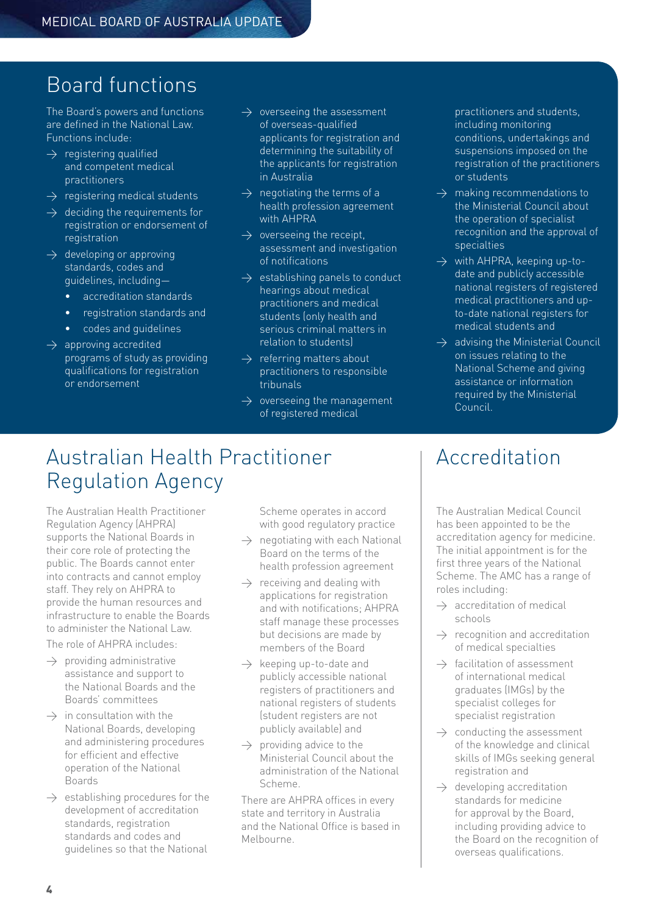# Board functions

The Board's powers and functions are defined in the National Law. Functions include:

- $\rightarrow$  registering qualified and competent medical practitioners
- $\rightarrow$  registering medical students
- $\rightarrow$  deciding the requirements for registration or endorsement of registration
- $\rightarrow$  developing or approving standards, codes and guidelines, including
	- accreditation standards
	- • registration standards and
	- codes and guidelines
- $\overline{\rightarrow}$  approving accredited programs of study as providing qualifications for registration or endorsement
- $\rightarrow$  overseeing the assessment of overseas-qualified applicants for registration and determining the suitability of the applicants for registration in Australia
- $\rightarrow$  negotiating the terms of a health profession agreement with AHPRA
- $\rightarrow$  overseeing the receipt. assessment and investigation of notifications
- $\rightarrow$  establishing panels to conduct hearings about medical practitioners and medical students (only health and serious criminal matters in relation to students)
- $\rightarrow$  referring matters about practitioners to responsible tribunals
- $\rightarrow$  overseeing the management of registered medical

practitioners and students, including monitoring conditions, undertakings and suspensions imposed on the registration of the practitioners or students

- $\rightarrow$  making recommendations to the Ministerial Council about the operation of specialist recognition and the approval of specialties
- $\rightarrow$  with AHPRA, keeping up-todate and publicly accessible national registers of registered medical practitioners and upto-date national registers for medical students and
- $\rightarrow$  advising the Ministerial Council on issues relating to the National Scheme and giving assistance or information required by the Ministerial Council.

# Australian Health Practitioner Regulation Agency

The Australian Health Practitioner Regulation Agency (AHPRA) supports the National Boards in their core role of protecting the public. The Boards cannot enter into contracts and cannot employ staff. They rely on AHPRA to provide the human resources and infrastructure to enable the Boards to administer the National Law.

The role of AHPRA includes:

- $\rightarrow$  providing administrative assistance and support to the National Boards and the Boards' committees
- $\rightarrow$  in consultation with the National Boards, developing and administering procedures for efficient and effective operation of the National Boards
- $\rightarrow$  establishing procedures for the development of accreditation standards, registration standards and codes and guidelines so that the National

Scheme operates in accord with good regulatory practice

- $\rightarrow$  negotiating with each National Board on the terms of the health profession agreement
- $\rightarrow$  receiving and dealing with applications for registration and with notifications; AHPRA staff manage these processes but decisions are made by members of the Board
- $\rightarrow$  keeping up-to-date and publicly accessible national registers of practitioners and national registers of students (student registers are not publicly available) and
- $\rightarrow$  providing advice to the Ministerial Council about the administration of the National Scheme.

There are AHPRA offices in every state and territory in Australia and the National Office is based in Melbourne.

# Accreditation

The Australian Medical Council has been appointed to be the accreditation agency for medicine. The initial appointment is for the first three years of the National Scheme. The AMC has a range of roles including:

- $\rightarrow$  accreditation of medical schools
- $\rightarrow$  recognition and accreditation of medical specialties
- $\rightarrow$  facilitation of assessment of international medical graduates (IMGs) by the specialist colleges for specialist registration
- $\rightarrow$  conducting the assessment of the knowledge and clinical skills of IMGs seeking general registration and
- $\rightarrow$  developing accreditation standards for medicine for approval by the Board, including providing advice to the Board on the recognition of overseas qualifications.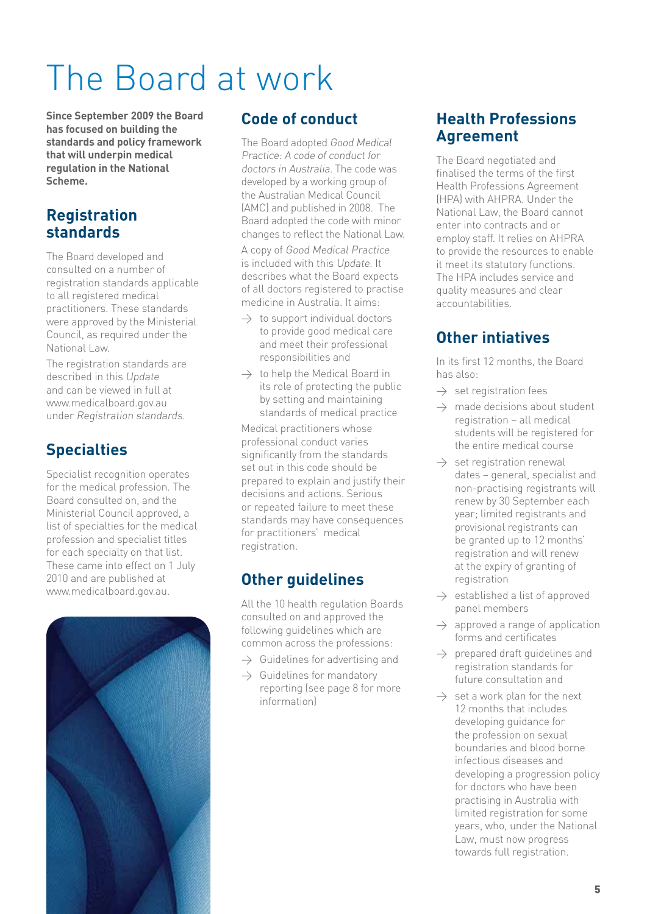# The Board at work

**Since September 2009 the Board has focused on building the standards and policy framework that will underpin medical regulation in the National Scheme.**

### **Registration standards**

The Board developed and consulted on a number of registration standards applicable to all registered medical practitioners. These standards were approved by the Ministerial Council, as required under the National Law.

The registration standards are described in this Update and can be viewed in full at www.medicalboard.gov.au under Registration standards.

# **Specialties**

Specialist recognition operates for the medical profession. The Board consulted on, and the Ministerial Council approved, a list of specialties for the medical profession and specialist titles for each specialty on that list. These came into effect on 1 July 2010 and are published at www.medicalboard.gov.au.



### **Code of conduct**

The Board adopted Good Medical Practice: A code of conduct for doctors in Australia. The code was developed by a working group of the Australian Medical Council (AMC) and published in 2008. The Board adopted the code with minor changes to reflect the National Law.

A copy of Good Medical Practice is included with this Update. It describes what the Board expects of all doctors registered to practise medicine in Australia. It aims:

- $\rightarrow$  to support individual doctors to provide good medical care and meet their professional responsibilities and
- $\rightarrow$  to help the Medical Board in its role of protecting the public by setting and maintaining standards of medical practice

Medical practitioners whose professional conduct varies significantly from the standards set out in this code should be prepared to explain and justify their decisions and actions. Serious or repeated failure to meet these standards may have consequences for practitioners' medical registration.

## **Other guidelines**

All the 10 health regulation Boards consulted on and approved the following guidelines which are common across the professions:

- $\rightarrow$  Guidelines for advertising and
- $\rightarrow$  Guidelines for mandatory reporting (see page 8 for more information)

### **Health Professions Agreement**

The Board negotiated and finalised the terms of the first Health Professions Agreement (HPA) with AHPRA. Under the National Law, the Board cannot enter into contracts and or employ staff. It relies on AHPRA to provide the resources to enable it meet its statutory functions. The HPA includes service and quality measures and clear accountabilities.

## **Other intiatives**

In its first 12 months, the Board has also:

- $\rightarrow$  set registration fees
- $\rightarrow$  made decisions about student registration – all medical students will be registered for the entire medical course
- $\rightarrow$  set registration renewal dates – general, specialist and non-practising registrants will renew by 30 September each year; limited registrants and provisional registrants can be granted up to 12 months' registration and will renew at the expiry of granting of registration
- $\rightarrow$  established a list of approved panel members
- $\rightarrow$  approved a range of application forms and certificates
- $\rightarrow$  prepared draft guidelines and registration standards for future consultation and
- $\rightarrow$  set a work plan for the next 12 months that includes developing guidance for the profession on sexual boundaries and blood borne infectious diseases and developing a progression policy for doctors who have been practising in Australia with limited registration for some years, who, under the National Law, must now progress towards full registration.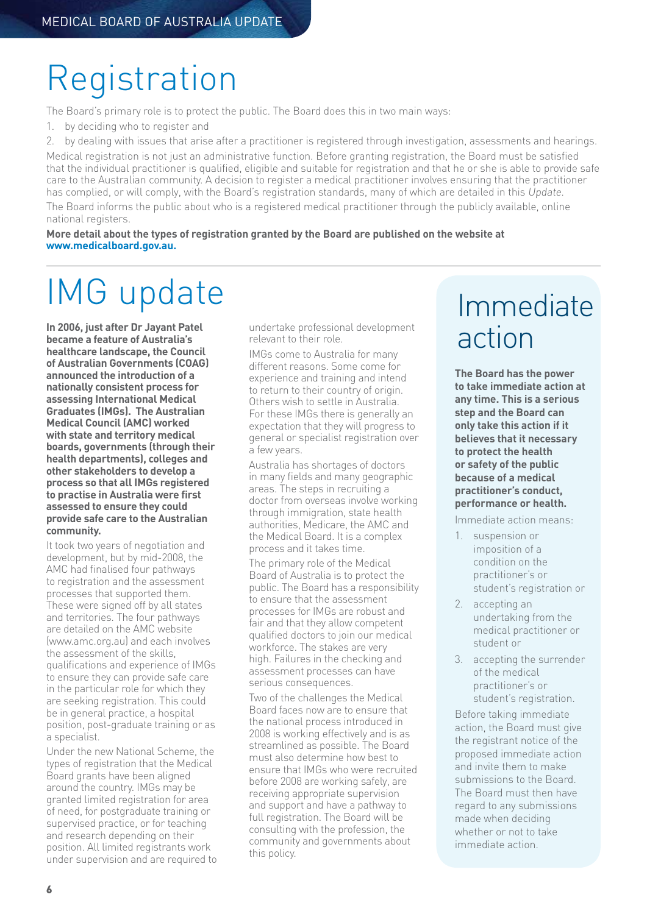# **Registration**

The Board's primary role is to protect the public. The Board does this in two main ways:

- 1. by deciding who to register and
- 2. by dealing with issues that arise after a practitioner is registered through investigation, assessments and hearings.

Medical registration is not just an administrative function. Before granting registration, the Board must be satisfied that the individual practitioner is qualified, eligible and suitable for registration and that he or she is able to provide safe care to the Australian community. A decision to register a medical practitioner involves ensuring that the practitioner has complied, or will comply, with the Board's registration standards, many of which are detailed in this Update. The Board informs the public about who is a registered medical practitioner through the publicly available, online national registers.

**More detail about the types of registration granted by the Board are published on the website at www.medicalboard.gov.au.**

# IMG update

**In 2006, just after Dr Jayant Patel became a feature of Australia's healthcare landscape, the Council of Australian Governments (COAG) announced the introduction of a nationally consistent process for assessing International Medical Graduates (IMGs). The Australian Medical Council (AMC) worked with state and territory medical boards, governments (through their health departments), colleges and other stakeholders to develop a process so that all IMGs registered to practise in Australia were first assessed to ensure they could provide safe care to the Australian community.** 

It took two years of negotiation and development, but by mid-2008, the AMC had finalised four pathways to registration and the assessment processes that supported them. These were signed off by all states and territories. The four pathways are detailed on the AMC website (www.amc.org.au) and each involves the assessment of the skills, qualifications and experience of IMGs to ensure they can provide safe care in the particular role for which they are seeking registration. This could be in general practice, a hospital position, post-graduate training or as a specialist.

Under the new National Scheme, the types of registration that the Medical Board grants have been aligned around the country. IMGs may be granted limited registration for area of need, for postgraduate training or supervised practice, or for teaching and research depending on their position. All limited registrants work under supervision and are required to undertake professional development relevant to their role.

IMGs come to Australia for many different reasons. Some come for experience and training and intend to return to their country of origin. Others wish to settle in Australia. For these IMGs there is generally an expectation that they will progress to general or specialist registration over a few years.

Australia has shortages of doctors in many fields and many geographic areas. The steps in recruiting a doctor from overseas involve working through immigration, state health authorities, Medicare, the AMC and the Medical Board. It is a complex process and it takes time.

The primary role of the Medical Board of Australia is to protect the public. The Board has a responsibility to ensure that the assessment processes for IMGs are robust and fair and that they allow competent qualified doctors to join our medical workforce. The stakes are very high. Failures in the checking and assessment processes can have serious consequences.

Two of the challenges the Medical Board faces now are to ensure that the national process introduced in 2008 is working effectively and is as streamlined as possible. The Board must also determine how best to ensure that IMGs who were recruited before 2008 are working safely, are receiving appropriate supervision and support and have a pathway to full registration. The Board will be consulting with the profession, the community and governments about this policy.

# Immediate action

**The Board has the power to take immediate action at any time. This is a serious step and the Board can only take this action if it believes that it necessary to protect the health or safety of the public because of a medical practitioner's conduct, performance or health.** 

Immediate action means:

- 1. suspension or imposition of a condition on the practitioner's or student's registration or
- 2. accepting an undertaking from the medical practitioner or student or
- 3. accepting the surrender of the medical practitioner's or student's registration.

Before taking immediate action, the Board must give the registrant notice of the proposed immediate action and invite them to make submissions to the Board. The Board must then have regard to any submissions made when deciding whether or not to take immediate action.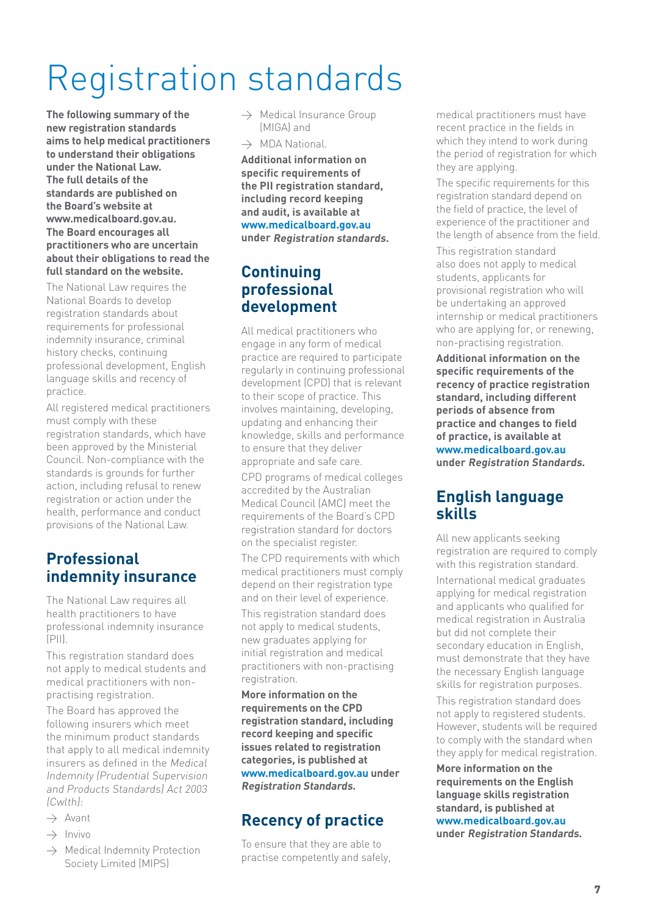# Registration standards

**The following summary of the new registration standards aims to help medical practitioners to understand their obligations under the National Law. The full details of the standards are published on the Board's website at www.medicalboard.gov.au. The Board encourages all practitioners who are uncertain about their obligations to read the full standard on the website.** 

The National Law requires the National Boards to develop registration standards about requirements for professional indemnity insurance, criminal history checks, continuing professional development, English language skills and recency of practice.

All registered medical practitioners must comply with these registration standards, which have been approved by the Ministerial Council. Non-compliance with the standards is grounds for further action, including refusal to renew registration or action under the health, performance and conduct provisions of the National Law.

### **Professional indemnity insurance**

The National Law requires all health practitioners to have professional indemnity insurance  $(P||)$ 

This registration standard does not apply to medical students and medical practitioners with nonpractising registration.

The Board has approved the following insurers which meet the minimum product standards that apply to all medical indemnity insurers as defined in the Medical Indemnity (Prudential Supervision and Products Standards) Act 2003 (Cwlth):

- $\rightarrow$  Avant
- $\rightarrow$  Invivo
- $\rightarrow$  Medical Indemnity Protection Society Limited (MIPS)
- $\rightarrow$  Medical Insurance Group (MIGA) and
- $\rightarrow$  MDA National

**Additional information on specific requirements of the PII registration standard, including record keeping and audit, is available at www.medicalboard.gov.au under Registration standards.**

### **Continuing professional development**

All medical practitioners who engage in any form of medical practice are required to participate regularly in continuing professional development (CPD) that is relevant to their scope of practice. This involves maintaining, developing, updating and enhancing their knowledge, skills and performance to ensure that they deliver appropriate and safe care.

CPD programs of medical colleges accredited by the Australian Medical Council (AMC) meet the requirements of the Board's CPD registration standard for doctors on the specialist register.

The CPD requirements with which medical practitioners must comply depend on their registration type and on their level of experience.

This registration standard does not apply to medical students, new graduates applying for initial registration and medical practitioners with non-practising registration.

**More information on the requirements on the CPD registration standard, including record keeping and specific issues related to registration categories, is published at www.medicalboard.gov.au under Registration Standards.**

## **Recency of practice**

To ensure that they are able to practise competently and safely, medical practitioners must have recent practice in the fields in which they intend to work during the period of registration for which they are applying.

The specific requirements for this registration standard depend on the field of practice, the level of experience of the practitioner and the length of absence from the field.

This registration standard also does not apply to medical students, applicants for provisional registration who will be undertaking an approved internship or medical practitioners who are applying for, or renewing. non-practising registration.

**Additional information on the specific requirements of the recency of practice registration standard, including different periods of absence from practice and changes to field of practice, is available at www.medicalboard.gov.au under Registration Standards.**

#### **English language skills**

All new applicants seeking registration are required to comply with this registration standard.

International medical graduates applying for medical registration and applicants who qualified for medical registration in Australia but did not complete their secondary education in English, must demonstrate that they have the necessary English language skills for registration purposes. This registration standard does

not apply to registered students. However, students will be required to comply with the standard when they apply for medical registration.

**More information on the requirements on the English language skills registration standard, is published at www.medicalboard.gov.au under Registration Standards.**